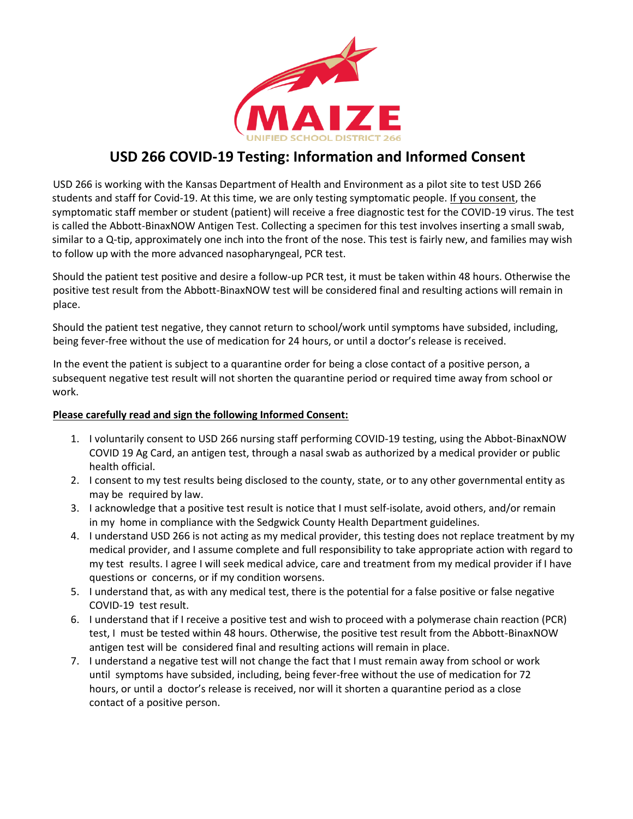

## **USD 266 COVID-19 Testing: Information and Informed Consent**

USD 266 is working with the Kansas Department of Health and Environment as a pilot site to test USD 266 students and staff for Covid-19. At this time, we are only testing symptomatic people. If you consent, the symptomatic staff member or student (patient) will receive a free diagnostic test for the COVID-19 virus. The test is called the Abbott-BinaxNOW Antigen Test. Collecting a specimen for this test involves inserting a small swab, similar to a Q-tip, approximately one inch into the front of the nose. This test is fairly new, and families may wish to follow up with the more advanced nasopharyngeal, PCR test.

Should the patient test positive and desire a follow-up PCR test, it must be taken within 48 hours. Otherwise the positive test result from the Abbott-BinaxNOW test will be considered final and resulting actions will remain in place.

Should the patient test negative, they cannot return to school/work until symptoms have subsided, including, being fever-free without the use of medication for 24 hours, or until a doctor's release is received.

In the event the patient is subject to a quarantine order for being a close contact of a positive person, a subsequent negative test result will not shorten the quarantine period or required time away from school or work.

## **Please carefully read and sign the following Informed Consent:**

- 1. I voluntarily consent to USD 266 nursing staff performing COVID-19 testing, using the Abbot-BinaxNOW COVID 19 Ag Card, an antigen test, through a nasal swab as authorized by a medical provider or public health official.
- 2. I consent to my test results being disclosed to the county, state, or to any other governmental entity as may be required by law.
- 3. I acknowledge that a positive test result is notice that I must self-isolate, avoid others, and/or remain in my home in compliance with the Sedgwick County Health Department guidelines.
- 4. I understand USD 266 is not acting as my medical provider, this testing does not replace treatment by my medical provider, and I assume complete and full responsibility to take appropriate action with regard to my test results. I agree I will seek medical advice, care and treatment from my medical provider if I have questions or concerns, or if my condition worsens.
- 5. I understand that, as with any medical test, there is the potential for a false positive or false negative COVID-19 test result.
- 6. I understand that if I receive a positive test and wish to proceed with a polymerase chain reaction (PCR) test, I must be tested within 48 hours. Otherwise, the positive test result from the Abbott-BinaxNOW antigen test will be considered final and resulting actions will remain in place.
- 7. I understand a negative test will not change the fact that I must remain away from school or work until symptoms have subsided, including, being fever-free without the use of medication for 72 hours, or until a doctor's release is received, nor will it shorten a quarantine period as a close contact of a positive person.